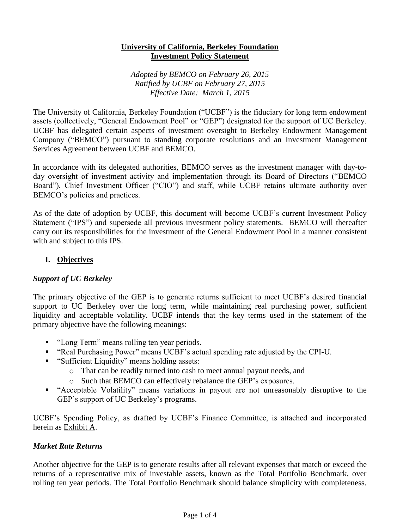#### **University of California, Berkeley Foundation Investment Policy Statement**

*Adopted by BEMCO on February 26, 2015 Ratified by UCBF on February 27, 2015 Effective Date: March 1, 2015*

The University of California, Berkeley Foundation ("UCBF") is the fiduciary for long term endowment assets (collectively, "General Endowment Pool" or "GEP") designated for the support of UC Berkeley. UCBF has delegated certain aspects of investment oversight to Berkeley Endowment Management Company ("BEMCO") pursuant to standing corporate resolutions and an Investment Management Services Agreement between UCBF and BEMCO.

In accordance with its delegated authorities, BEMCO serves as the investment manager with day-today oversight of investment activity and implementation through its Board of Directors ("BEMCO Board"), Chief Investment Officer ("CIO") and staff, while UCBF retains ultimate authority over BEMCO's policies and practices.

As of the date of adoption by UCBF, this document will become UCBF's current Investment Policy Statement ("IPS") and supersede all previous investment policy statements. BEMCO will thereafter carry out its responsibilities for the investment of the General Endowment Pool in a manner consistent with and subject to this IPS.

# **I. Objectives**

# *Support of UC Berkeley*

The primary objective of the GEP is to generate returns sufficient to meet UCBF's desired financial support to UC Berkeley over the long term, while maintaining real purchasing power, sufficient liquidity and acceptable volatility. UCBF intends that the key terms used in the statement of the primary objective have the following meanings:

- "Long Term" means rolling ten year periods.
- "Real Purchasing Power" means UCBF's actual spending rate adjusted by the CPI-U.
- "Sufficient Liquidity" means holding assets:
	- o That can be readily turned into cash to meet annual payout needs, and
	- o Such that BEMCO can effectively rebalance the GEP's exposures.
- "Acceptable Volatility" means variations in payout are not unreasonably disruptive to the GEP's support of UC Berkeley's programs.

UCBF's Spending Policy, as drafted by UCBF's Finance Committee, is attached and incorporated herein as Exhibit A.

### *Market Rate Returns*

Another objective for the GEP is to generate results after all relevant expenses that match or exceed the returns of a representative mix of investable assets, known as the Total Portfolio Benchmark, over rolling ten year periods. The Total Portfolio Benchmark should balance simplicity with completeness.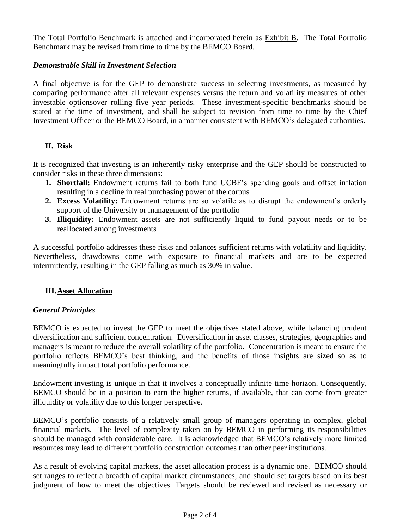The Total Portfolio Benchmark is attached and incorporated herein as Exhibit B. The Total Portfolio Benchmark may be revised from time to time by the BEMCO Board.

### *Demonstrable Skill in Investment Selection*

A final objective is for the GEP to demonstrate success in selecting investments, as measured by comparing performance after all relevant expenses versus the return and volatility measures of other investable optionsover rolling five year periods. These investment-specific benchmarks should be stated at the time of investment, and shall be subject to revision from time to time by the Chief Investment Officer or the BEMCO Board, in a manner consistent with BEMCO's delegated authorities.

# **II. Risk**

It is recognized that investing is an inherently risky enterprise and the GEP should be constructed to consider risks in these three dimensions:

- **1. Shortfall:** Endowment returns fail to both fund UCBF's spending goals and offset inflation resulting in a decline in real purchasing power of the corpus
- **2. Excess Volatility:** Endowment returns are so volatile as to disrupt the endowment's orderly support of the University or management of the portfolio
- **3. Illiquidity:** Endowment assets are not sufficiently liquid to fund payout needs or to be reallocated among investments

A successful portfolio addresses these risks and balances sufficient returns with volatility and liquidity. Nevertheless, drawdowns come with exposure to financial markets and are to be expected intermittently, resulting in the GEP falling as much as 30% in value.

### **III.Asset Allocation**

### *General Principles*

BEMCO is expected to invest the GEP to meet the objectives stated above, while balancing prudent diversification and sufficient concentration. Diversification in asset classes, strategies, geographies and managers is meant to reduce the overall volatility of the portfolio. Concentration is meant to ensure the portfolio reflects BEMCO's best thinking, and the benefits of those insights are sized so as to meaningfully impact total portfolio performance.

Endowment investing is unique in that it involves a conceptually infinite time horizon. Consequently, BEMCO should be in a position to earn the higher returns, if available, that can come from greater illiquidity or volatility due to this longer perspective.

BEMCO's portfolio consists of a relatively small group of managers operating in complex, global financial markets. The level of complexity taken on by BEMCO in performing its responsibilities should be managed with considerable care. It is acknowledged that BEMCO's relatively more limited resources may lead to different portfolio construction outcomes than other peer institutions.

As a result of evolving capital markets, the asset allocation process is a dynamic one. BEMCO should set ranges to reflect a breadth of capital market circumstances, and should set targets based on its best judgment of how to meet the objectives. Targets should be reviewed and revised as necessary or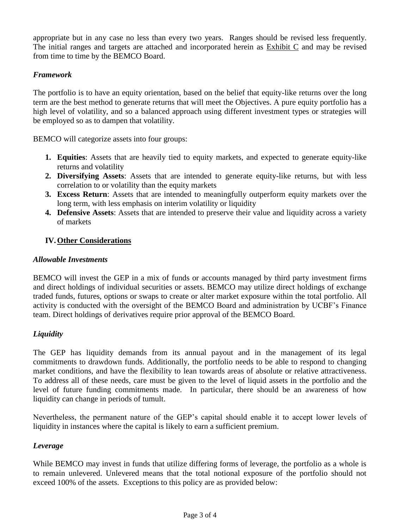appropriate but in any case no less than every two years. Ranges should be revised less frequently. The initial ranges and targets are attached and incorporated herein as Exhibit C and may be revised from time to time by the BEMCO Board.

### *Framework*

The portfolio is to have an equity orientation, based on the belief that equity-like returns over the long term are the best method to generate returns that will meet the Objectives. A pure equity portfolio has a high level of volatility, and so a balanced approach using different investment types or strategies will be employed so as to dampen that volatility.

BEMCO will categorize assets into four groups:

- **1. Equities**: Assets that are heavily tied to equity markets, and expected to generate equity-like returns and volatility
- **2. Diversifying Assets**: Assets that are intended to generate equity-like returns, but with less correlation to or volatility than the equity markets
- **3. Excess Return**: Assets that are intended to meaningfully outperform equity markets over the long term, with less emphasis on interim volatility or liquidity
- **4. Defensive Assets**: Assets that are intended to preserve their value and liquidity across a variety of markets

### **IV.Other Considerations**

#### *Allowable Investments*

BEMCO will invest the GEP in a mix of funds or accounts managed by third party investment firms and direct holdings of individual securities or assets. BEMCO may utilize direct holdings of exchange traded funds, futures, options or swaps to create or alter market exposure within the total portfolio. All activity is conducted with the oversight of the BEMCO Board and administration by UCBF's Finance team. Direct holdings of derivatives require prior approval of the BEMCO Board.

### *Liquidity*

The GEP has liquidity demands from its annual payout and in the management of its legal commitments to drawdown funds. Additionally, the portfolio needs to be able to respond to changing market conditions, and have the flexibility to lean towards areas of absolute or relative attractiveness. To address all of these needs, care must be given to the level of liquid assets in the portfolio and the level of future funding commitments made. In particular, there should be an awareness of how liquidity can change in periods of tumult.

Nevertheless, the permanent nature of the GEP's capital should enable it to accept lower levels of liquidity in instances where the capital is likely to earn a sufficient premium.

#### *Leverage*

While BEMCO may invest in funds that utilize differing forms of leverage, the portfolio as a whole is to remain unlevered. Unlevered means that the total notional exposure of the portfolio should not exceed 100% of the assets. Exceptions to this policy are as provided below: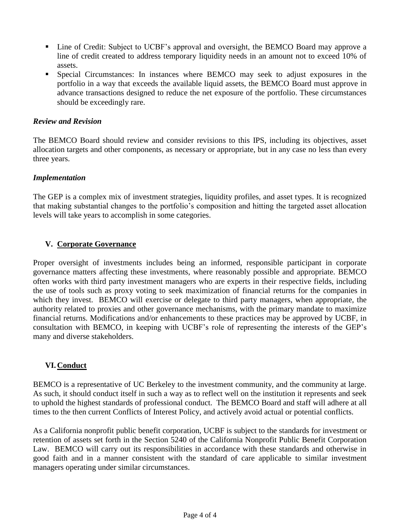- Line of Credit: Subject to UCBF's approval and oversight, the BEMCO Board may approve a line of credit created to address temporary liquidity needs in an amount not to exceed 10% of assets.
- Special Circumstances: In instances where BEMCO may seek to adjust exposures in the portfolio in a way that exceeds the available liquid assets, the BEMCO Board must approve in advance transactions designed to reduce the net exposure of the portfolio. These circumstances should be exceedingly rare.

### *Review and Revision*

The BEMCO Board should review and consider revisions to this IPS, including its objectives, asset allocation targets and other components, as necessary or appropriate, but in any case no less than every three years.

### *Implementation*

The GEP is a complex mix of investment strategies, liquidity profiles, and asset types. It is recognized that making substantial changes to the portfolio's composition and hitting the targeted asset allocation levels will take years to accomplish in some categories.

### **V. Corporate Governance**

Proper oversight of investments includes being an informed, responsible participant in corporate governance matters affecting these investments, where reasonably possible and appropriate. BEMCO often works with third party investment managers who are experts in their respective fields, including the use of tools such as proxy voting to seek maximization of financial returns for the companies in which they invest. BEMCO will exercise or delegate to third party managers, when appropriate, the authority related to proxies and other governance mechanisms, with the primary mandate to maximize financial returns. Modifications and/or enhancements to these practices may be approved by UCBF, in consultation with BEMCO, in keeping with UCBF's role of representing the interests of the GEP's many and diverse stakeholders.

### **VI.Conduct**

BEMCO is a representative of UC Berkeley to the investment community, and the community at large. As such, it should conduct itself in such a way as to reflect well on the institution it represents and seek to uphold the highest standards of professional conduct. The BEMCO Board and staff will adhere at all times to the then current Conflicts of Interest Policy, and actively avoid actual or potential conflicts.

As a California nonprofit public benefit corporation, UCBF is subject to the standards for investment or retention of assets set forth in the Section 5240 of the California Nonprofit Public Benefit Corporation Law. BEMCO will carry out its responsibilities in accordance with these standards and otherwise in good faith and in a manner consistent with the standard of care applicable to similar investment managers operating under similar circumstances.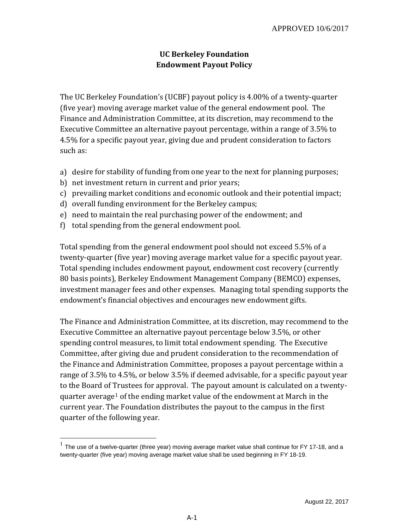# **UC Berkeley Foundation Endowment Payout Policy**

The UC Berkeley Foundation's (UCBF) payout policy is 4.00% of a twenty-quarter (five year) moving average market value of the general endowment pool. The Finance and Administration Committee, at its discretion, may recommend to the Executive Committee an alternative payout percentage, within a range of 3.5% to 4.5% for a specific payout year, giving due and prudent consideration to factors such as:

- a) desire for stability of funding from one year to the next for planning purposes;
- b) net investment return in current and prior years;
- c) prevailing market conditions and economic outlook and their potential impact;
- d) overall funding environment for the Berkeley campus;
- e) need to maintain the real purchasing power of the endowment; and
- f) total spending from the general endowment pool.

Total spending from the general endowment pool should not exceed 5.5% of a twenty-quarter (five year) moving average market value for a specific payout year. Total spending includes endowment payout, endowment cost recovery (currently 80 basis points), Berkeley Endowment Management Company (BEMCO) expenses, investment manager fees and other expenses. Managing total spending supports the endowment's financial objectives and encourages new endowment gifts.

The Finance and Administration Committee, at its discretion, may recommend to the Executive Committee an alternative payout percentage below 3.5%, or other spending control measures, to limit total endowment spending. The Executive Committee, after giving due and prudent consideration to the recommendation of the Finance and Administration Committee, proposes a payout percentage within a range of 3.5% to 4.5%, or below 3.5% if deemed advisable, for a specific payout year to the Board of Trustees for approval. The payout amount is calculated on a twentyquarter average<sup>1</sup> of the ending market value of the endowment at March in the current year. The Foundation distributes the payout to the campus in the first quarter of the following year.

The use of a twelve-quarter (three year) moving average market value shall continue for FY 17-18, and a twenty-quarter (five year) moving average market value shall be used beginning in FY 18-19.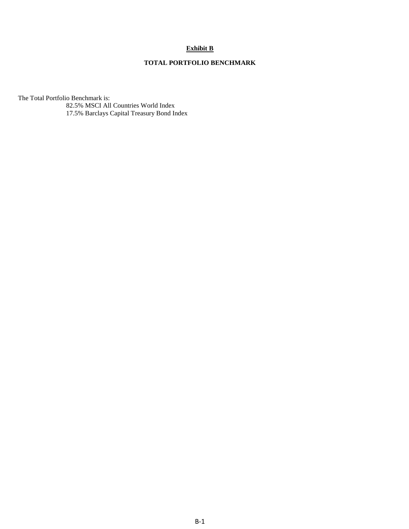#### **Exhibit B**

#### **TOTAL PORTFOLIO BENCHMARK**

The Total Portfolio Benchmark is:

82.5% MSCI All Countries World Index 17.5% Barclays Capital Treasury Bond Index